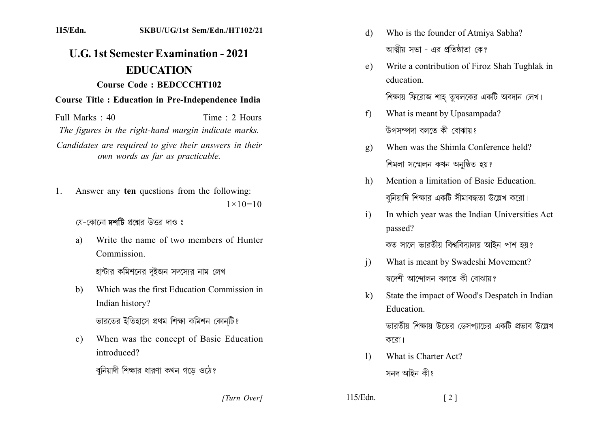## 115/Edn. SKBU/UG/1st Sem/Edn./HT102/21

## **U.G. 1st Semester Examination - 2021 EDUCATION Course Code: BEDCCCHT102**

## **Course Title : Education in Pre-Independence India**

Time  $\cdot$  2 Hours Full Marks  $\cdot$  40

The figures in the right-hand margin indicate marks.

Candidates are required to give their answers in their own words as far as practicable.

Answer any ten questions from the following: 1.  $1 \times 10 = 10$ 

যে-কোনো **দর্শটি** প্রশ্নের উত্তর দাও ঃ

Write the name of two members of Hunter a) Commission

হান্টার কমিশনের দুইজন সদস্যের নাম লেখ।

Which was the first Education Commission in  $b)$ Indian history?

ভারতের ইতিহাসে প্রথম শিক্ষা কমিশন কোনটি?

 $c)$ When was the concept of Basic Education introduced?

বুনিয়াদী শিক্ষার ধারণা কখন গডে ওঠে?

[Turn Over]

- Who is the founder of Atmiya Sabha? d) আত্মীয় সভা - এব প্রতিষ্ঠাতা কে?
- Write a contribution of Firoz Shah Tughlak in  $e)$ education

শিক্ষায় ফিরোজ শাহ তূঘলকের একটি অবদান লেখ।

- What is meant by Upasampada?  $f$ উপসম্পদা বলতে কী বোঝায়?
- When was the Shimla Conference held?  $g)$ শিমলা সম্মেলন কখন অনুষ্ঠিত হয়?
- Mention a limitation of Basic Education. h) বুনিয়াদি শিক্ষার একটি সীমাবদ্ধতা উল্লেখ করো।
- $\mathbf{i}$ In which year was the Indian Universities Act passed?

কত সালে ভারতীয় বিশ্ববিদ্যালয় আইন পাশ হয়?

- What is meant by Swadeshi Movement?  $\mathbf{i}$ স্বদেশী আন্দোলন বলতে কী বোঝায়?
- State the impact of Wood's Despatch in Indian  $\bf k$ Education.

ভারতীয় শিক্ষায় উডের ডেসপাচের একটি প্রভাব উল্লেখ করো।

- What is Charter Act?  $\mathbf{D}$ সনদ আইন কী?
- $115/Edn$ .  $\lceil 2 \rceil$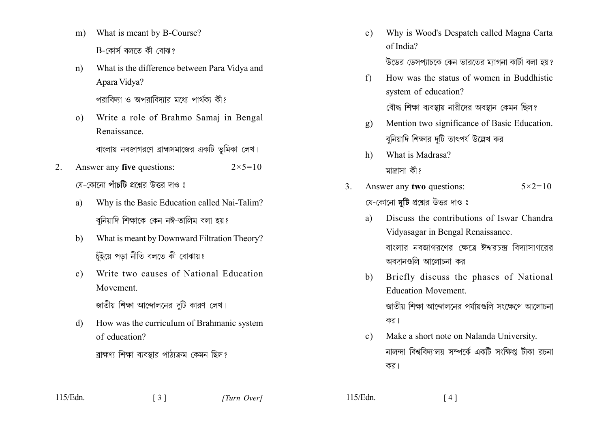- What is meant by B-Course?  $m$ )  $B$ -কোৰ্স বলতে কী বোঝ?
- What is the difference between Para Vidya and  $n)$ Apara Vidya?

পরাবিদ্যা ও অপরাবিদ্যার মধ্যে পার্থক্য কী?

Write a role of Brahmo Samaj in Bengal  $\sigma$ ) Renaissance

বাংলায় নবজাগরণে ব্রাহ্মসমাজের একটি ভূমিকা লেখ।

- Answer any five questions:  $2<sub>1</sub>$  $2 \times 5 = 10$ য়ে-কোনো **পাঁচটি** প্রশ্নের উত্তর দাও ঃ
	- Why is the Basic Education called Nai-Talim? a) বনিয়াদি শিক্ষাকে কেন নঈ-তালিম বলা হয়?
	- What is meant by Downward Filtration Theory?  $h)$ চুঁইয়ে পডা নীতি বলতে কী বোঝায়?
	- Write two causes of National Education  $c)$ Movement

জাতীয় শিক্ষা আন্দোলনের দটি কারণ লেখ।

How was the curriculum of Brahmanic system  $\mathbf{d}$ of education?

ব্রাহ্মণ্য শিক্ষা ব্যবস্থার পাঠ্যক্রম কেমন ছিল?

 $\begin{bmatrix} 3 \end{bmatrix}$ 

- Why is Wood's Despatch called Magna Carta  $e)$ of India? উডের ডেসপাচকে কেন ভারতের ম্যাগনা কার্টা বলা হয়?
- How was the status of women in Buddhistic  $f$ system of education?

বৌদ্ধ শিক্ষা ব্যবস্থায় নারীদের অবস্থান কেমন ছিল?

- Mention two significance of Basic Education.  $\mathbf{g}$ ) বুনিয়াদি শিক্ষার দুটি তাৎপর্য উল্লেখ কর।
- What is Madrasa?  $h$ ) মাদাসা কী?
- Answer any two questions:  $3<sub>1</sub>$  $5 \times 2 = 10$ য়ে-কোনো **দটি** প্রশ্নের উত্তর দাও ঃ
	- Discuss the contributions of Iswar Chandra  $\mathbf{a}$ Vidyasagar in Bengal Renaissance. বাংলাব নবজাগবণেব ক্ষেত্রে ঈশ্ববচন্দ বিদ্যাসাগবেব

অবদানগুলি আলোচনা কর।

- Briefly discuss the phases of National  $h$ ) **Education Movement** জাতীয় শিক্ষা আন্দোলনের পর্যায়গুলি সংক্ষেপে আলোচনা কর।
- Make a short note on Nalanda University.  $c)$ নালন্দা বিশ্ববিদ্যালয় সম্পর্কে একটি সংক্ষিপ্ত টীকা রচনা কর।

 $115/Edn$ .